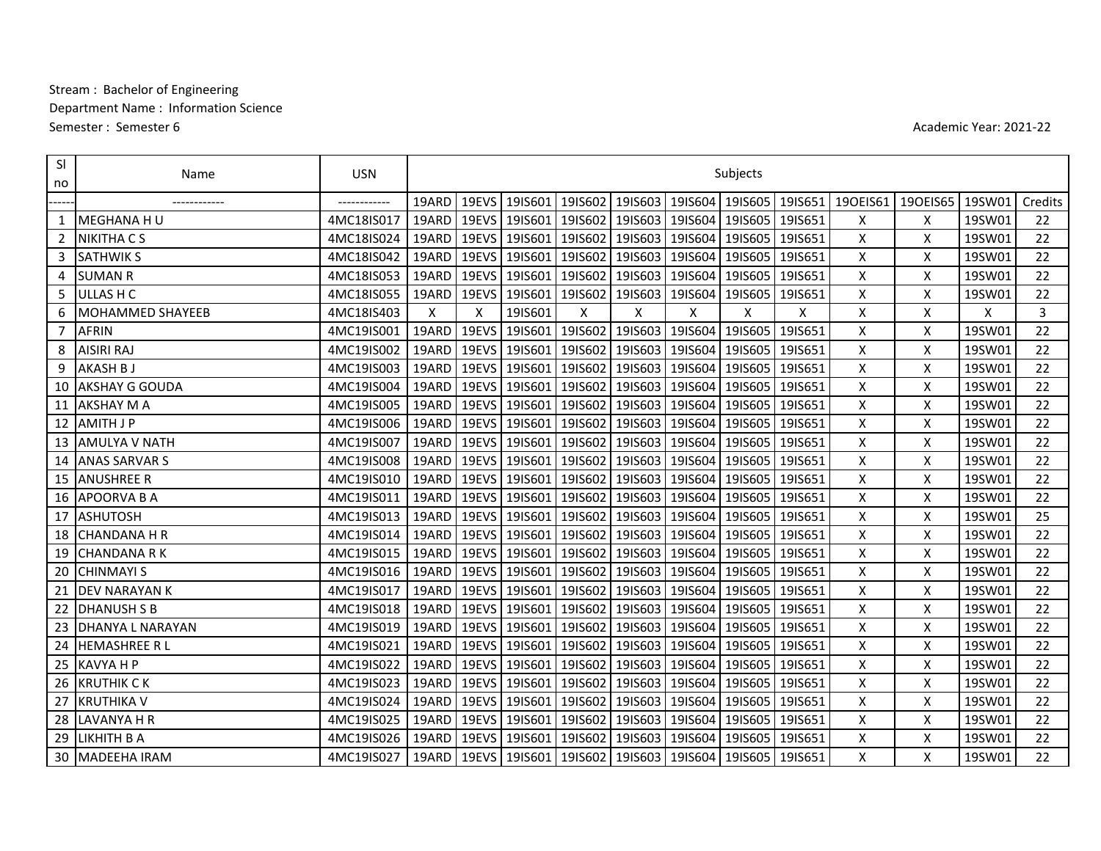## Stream: Bachelor of Engineering Department Name: Information Science Semester: Semester 6

Academic Year: 2021-22

| <sub>SI</sub><br>no | Name                    | <b>USN</b>   | Subjects    |                           |                                                                           |   |   |                                                 |                 |   |          |                 |        |         |
|---------------------|-------------------------|--------------|-------------|---------------------------|---------------------------------------------------------------------------|---|---|-------------------------------------------------|-----------------|---|----------|-----------------|--------|---------|
|                     | ------------            | ------------ | 19ARD       | 19EVS                     | 19IS601                                                                   |   |   | 1915602   1915603   1915604   1915605   1915651 |                 |   | 190EIS61 | 190EIS65 19SW01 |        | Credits |
| 1                   | <b>MEGHANA H U</b>      | 4MC18IS017   | 19ARD 19EVS |                           | 19IS601                                                                   |   |   | 1915602   1915603   1915604   1915605   1915651 |                 |   | X        | X               | 19SW01 | 22      |
| $\overline{2}$      | <b>NIKITHA CS</b>       | 4MC18IS024   | 19ARD       | 19EVS                     | 19IS601                                                                   |   |   | 1915602   1915603   1915604   1915605   1915651 |                 |   | X        | X               | 19SW01 | 22      |
| 3                   | <b>SATHWIK S</b>        | 4MC18IS042   | 19ARD I     | 19EVS                     | 19IS601                                                                   |   |   | 1915602   1915603   1915604   1915605   1915651 |                 |   | X        | X               | 19SW01 | 22      |
| 4                   | <b>SUMAN R</b>          | 4MC18IS053   | 19ARD 19EVS |                           | 19IS601                                                                   |   |   | 1915602 1915603 1915604 1915605 1915651         |                 |   | X        | X               | 19SW01 | 22      |
|                     | 5 ULLAS H C             | 4MC18IS055   | 19ARD       | 19EVS                     | 19IS601                                                                   |   |   | 1915602 1915603 1915604 1915605 1915651         |                 |   | X        | X               | 19SW01 | 22      |
| 6                   | <b>MOHAMMED SHAYEEB</b> | 4MC18IS403   | X           | $\boldsymbol{\mathsf{x}}$ | 19IS601                                                                   | X | Χ | X                                               | X               | X | X        | X               | x      | 3       |
| $\overline{7}$      | <b>AFRIN</b>            | 4MC19IS001   | 19ARD       | 19EVS                     | 19IS601                                                                   |   |   | 19  5602 19  5603 19  5604                      | 19IS605 19IS651 |   | X        | X               | 19SW01 | 22      |
| 8                   | <b>AISIRI RAJ</b>       | 4MC19IS002   | 19ARD 19EVS |                           | 19IS601                                                                   |   |   | 1915602   1915603   1915604   1915605   1915651 |                 |   | X        | X               | 19SW01 | 22      |
| 9                   | <b>AKASH B J</b>        | 4MC19IS003   | 19ARD       | 19EVS                     | 19IS601                                                                   |   |   | 19  5602 19  5603 19  5604                      | 19IS605 19IS651 |   | X        | X               | 19SW01 | 22      |
| 10                  | <b>AKSHAY G GOUDA</b>   | 4MC19IS004   | 19ARD       | 19EVS                     | 19IS601                                                                   |   |   | 1915602   1915603   1915604   1915605   1915651 |                 |   | X        | X               | 19SW01 | 22      |
| 11                  | <b>AKSHAY M A</b>       | 4MC19IS005   | 19ARD       | 19EVS                     | 19IS601                                                                   |   |   | 1915602   1915603   1915604   1915605   1915651 |                 |   | Χ        | X               | 19SW01 | 22      |
|                     | 12 AMITH J P            | 4MC19IS006   |             |                           | 19ARD   19EVS   19IS601   19IS602   19IS603   19IS604   19IS605   19IS651 |   |   |                                                 |                 |   | X        | X               | 19SW01 | 22      |
|                     | 13 AMULYA V NATH        | 4MC19IS007   | 19ARD       | 19EVS                     | 19IS601                                                                   |   |   | 1915602   1915603   1915604   1915605   1915651 |                 |   | X        | X               | 19SW01 | 22      |
|                     | 14 ANAS SARVAR S        | 4MC19IS008   | 19ARD       | 19EVS                     | 19IS601                                                                   |   |   | 1915602 1915603 1915604 1915605 1915651         |                 |   | X        | X               | 19SW01 | 22      |
|                     | <b>15 JANUSHREE R</b>   | 4MC19IS010   | 19ARD 19EVS |                           | 19IS601                                                                   |   |   | 1915602 1915603 1915604 1915605 1915651         |                 |   | X        | X               | 19SW01 | 22      |
|                     | 16 APOORVA B A          | 4MC19IS011   | 19ARD       | 19EVS                     | 19IS601                                                                   |   |   | 1915602 1915603 1915604 1915605 1915651         |                 |   | X        | X               | 19SW01 | 22      |
| 17                  | <b>ASHUTOSH</b>         | 4MC19IS013   | 19ARD       | 19EVS                     | 19IS601                                                                   |   |   | 19IS602 19IS603 19IS604                         | 19IS605 19IS651 |   | X        | X               | 19SW01 | 25      |
|                     | 18 CHANDANA H R         | 4MC19IS014   | 19ARD       | 19EVS                     | 19IS601                                                                   |   |   | 1915602 1915603 1915604 1915605 1915651         |                 |   | X        | X               | 19SW01 | 22      |
|                     | 19 CHANDANA R K         | 4MC19IS015   |             |                           | 19ARD   19EVS   19IS601   19IS602   19IS603   19IS604   19IS605   19IS651 |   |   |                                                 |                 |   | X        | X               | 19SW01 | 22      |
| 20                  | <b>CHINMAYI S</b>       | 4MC19IS016   | 19ARD       | 19EVS                     | 19IS601                                                                   |   |   | 19  5602 19  5603 19  5604                      | 19IS605 19IS651 |   | Χ        | X               | 19SW01 | 22      |
| 21                  | <b>DEV NARAYAN K</b>    | 4MC19IS017   | 19ARD       | 19EVS                     | 19IS601                                                                   |   |   | 1915602 1915603 1915604 1915605 1915651         |                 |   | X        | Χ               | 19SW01 | 22      |
|                     | 22 DHANUSH S B          | 4MC19IS018   | 19ARD       | 19EVS                     | 19IS601                                                                   |   |   | 1915602   1915603   1915604   1915605   1915651 |                 |   | X        | X               | 19SW01 | 22      |
|                     | 23 DHANYA L NARAYAN     | 4MC19IS019   | 19ARD I     | 19EVS                     | 19IS601   19IS602   19IS603   19IS604   19IS605   19IS651                 |   |   |                                                 |                 |   | X.       | X               | 19SW01 | 22      |
| 24                  | <b>HEMASHREE RL</b>     | 4MC19IS021   | 19ARD       | 19EVS                     | 19IS601                                                                   |   |   | 1915602   1915603   1915604   1915605   1915651 |                 |   | X        | X               | 19SW01 | 22      |
|                     | 25 KAVYA H P            | 4MC19IS022   | 19ARD       | 19EVS                     | 19IS601                                                                   |   |   | 1915602   1915603   1915604   1915605   1915651 |                 |   | X        | х               | 19SW01 | 22      |
|                     | <b>26 IKRUTHIK C K</b>  | 4MC19IS023   | 19ARD 19EVS |                           | 19IS601                                                                   |   |   | 1915602   1915603   1915604   1915605   1915651 |                 |   | X        | X               | 19SW01 | 22      |
|                     | 27 IKRUTHIKA V          | 4MC19IS024   | 19ARD       | 19EVS                     | 19IS601                                                                   |   |   | 1915602   1915603   1915604   1915605   1915651 |                 |   | X        | X               | 19SW01 | 22      |
|                     | 28 LAVANYA H R          | 4MC19IS025   | 19ARD       | 19EVS                     | 19IS601                                                                   |   |   | 19IS602 19IS603 19IS604                         | 1915605 1915651 |   | X        | X               | 19SW01 | 22      |
| 29                  | <b>LIKHITH B A</b>      | 4MC19IS026   | 19ARD       | 19EVS                     | 19IS601                                                                   |   |   | 1915602 1915603 1915604 1915605 1915651         |                 |   | X        | Χ               | 19SW01 | 22      |
|                     | 30 MADEEHA IRAM         | 4MC19IS027   |             |                           | 19ARD 19EVS 19IS601 19IS602 19IS603 19IS604 19IS605 19IS651               |   |   |                                                 |                 |   | X        | X               | 19SW01 | 22      |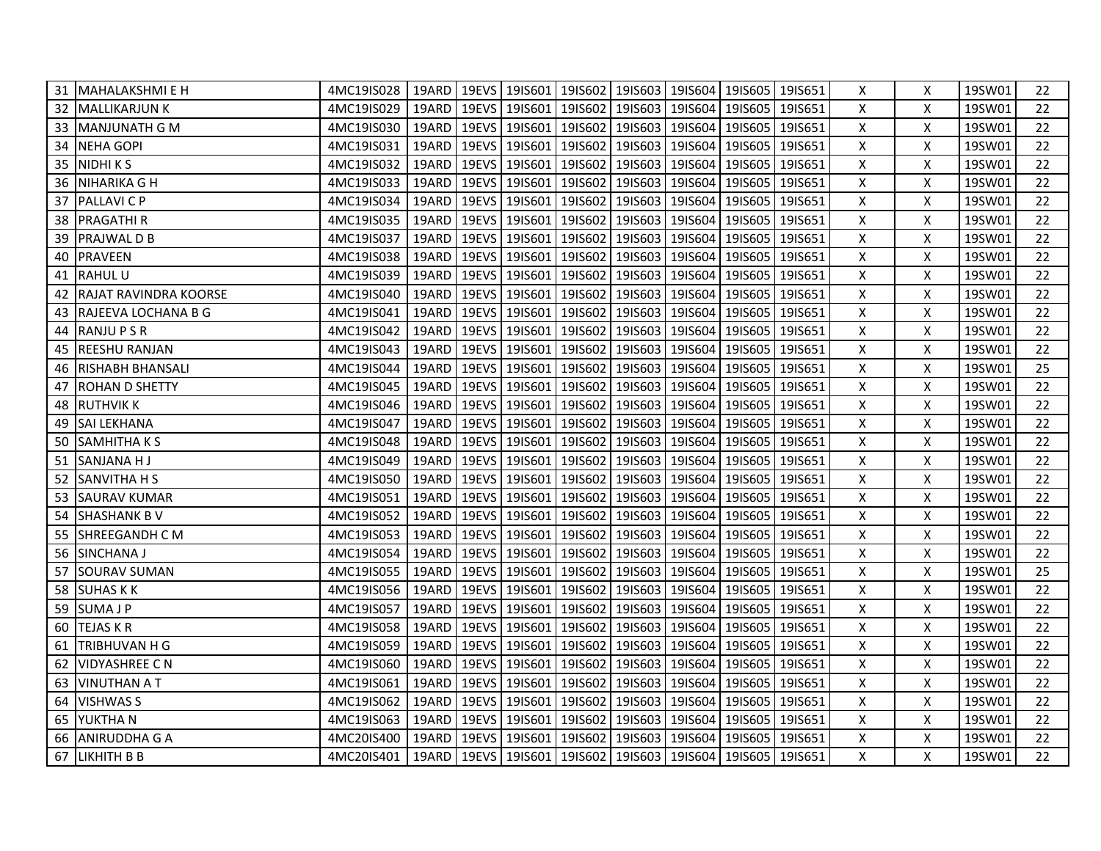| 31 MAHALAKSHMI E H               | 4MC19IS028   19ARD   19EVS   19IS601   19IS602   19IS603   19IS604   19IS605   19IS651 |  |                     |                                                                           |  | X | X | 19SW01 | 22 |
|----------------------------------|----------------------------------------------------------------------------------------|--|---------------------|---------------------------------------------------------------------------|--|---|---|--------|----|
| 32 MALLIKARJUN K                 | 4MC19IS029                                                                             |  |                     | 19ARD 19EVS 19IS601 19IS602 19IS603 19IS604 19IS605 19IS651               |  | X | Χ | 19SW01 | 22 |
| 33 MANJUNATH G M                 | 4MC19IS030                                                                             |  |                     | 19ARD   19EVS   19IS601   19IS602   19IS603   19IS604   19IS605   19IS651 |  | X | X | 19SW01 | 22 |
| 34 NEHA GOPI                     | 4MC19IS031                                                                             |  |                     | 19ARD 19EVS 19IS601 19IS602 19IS603 19IS604 19IS605 19IS651               |  | X | X | 19SW01 | 22 |
| 35 NIDHIKS                       | 4MC19IS032                                                                             |  | 19ARD 19EVS 19IS601 | 19IS602   19IS603   19IS604   19IS605   19IS651                           |  | X | X | 19SW01 | 22 |
| 36 NIHARIKA G H                  | 4MC19IS033                                                                             |  | 19ARD 19EVS 19IS601 | 19IS602   19IS603   19IS604   19IS605   19IS651                           |  | X | X | 19SW01 | 22 |
| 37 PALLAVI C P                   | 4MC19IS034                                                                             |  |                     | 19ARD 19EVS 19IS601 19IS602 19IS603 19IS604 19IS605 19IS651               |  | X | X | 19SW01 | 22 |
| 38 <b>PRAGATHI R</b>             | 4MC19IS035                                                                             |  |                     | 19ARD   19EVS   19IS601   19IS602   19IS603   19IS604   19IS605   19IS651 |  | X | X | 19SW01 | 22 |
| 39 PRAJWAL D B                   | 4MC19IS037                                                                             |  |                     | 19ARD 19EVS 19IS601 19IS602 19IS603 19IS604 19IS605 19IS651               |  | X | X | 19SW01 | 22 |
| 40 PRAVEEN                       | 4MC19IS038                                                                             |  |                     | 19ARD 19EVS 19IS601 19IS602 19IS603 19IS604 19IS605 19IS651               |  | X | X | 19SW01 | 22 |
| 41 RAHUL U                       | 4MC19IS039                                                                             |  |                     | 19ARD 19EVS 19IS601 19IS602 19IS603 19IS604 19IS605 19IS651               |  | X | X | 19SW01 | 22 |
| <b>42 IRAJAT RAVINDRA KOORSE</b> | 4MC19IS040                                                                             |  |                     | 19ARD 19EVS 19IS601 19IS602 19IS603 19IS604 19IS605 19IS651               |  | X | X | 19SW01 | 22 |
| 43 RAJEEVA LOCHANA B G           | 4MC19IS041                                                                             |  |                     | 19ARD 19EVS 19IS601 19IS602 19IS603 19IS604 19IS605 19IS651               |  | X | X | 19SW01 | 22 |
| 44 RANJU P S R                   | 4MC19IS042                                                                             |  |                     | 19ARD   19EVS   19IS601   19IS602   19IS603   19IS604   19IS605   19IS651 |  | X | Χ | 19SW01 | 22 |
| 45 REESHU RANJAN                 | 4MC19IS043                                                                             |  |                     | 19ARD 19EVS 19IS601 19IS602 19IS603 19IS604 19IS605 19IS651               |  | X | Χ | 19SW01 | 22 |
| 46 RISHABH BHANSALI              | 4MC19IS044                                                                             |  |                     | 19ARD 19EVS 19IS601 19IS602 19IS603 19IS604 19IS605 19IS651               |  | X | X | 19SW01 | 25 |
| 47 ROHAN D SHETTY                | 4MC19IS045                                                                             |  |                     | 19ARD   19EVS   19IS601   19IS602   19IS603   19IS604   19IS605   19IS651 |  | X | X | 19SW01 | 22 |
| 48 RUTHVIK K                     | 4MC19IS046                                                                             |  |                     | 19ARD 19EVS 19IS601 19IS602 19IS603 19IS604 19IS605 19IS651               |  | X | X | 19SW01 | 22 |
| 49 SAI LEKHANA                   | 4MC19IS047                                                                             |  |                     | 19ARD 19EVS 19IS601 19IS602 19IS603 19IS604 19IS605 19IS651               |  | X | X | 19SW01 | 22 |
| 50 SAMHITHA K S                  | 4MC19IS048                                                                             |  |                     | 19ARD 19EVS 19IS601 19IS602 19IS603 19IS604 19IS605 19IS651               |  | X | Χ | 19SW01 | 22 |
| 51 SANJANA HJ                    | 4MC19IS049                                                                             |  |                     | 19ARD 19EVS 19IS601 19IS602 19IS603 19IS604 19IS605 19IS651               |  | X | Χ | 19SW01 | 22 |
| 52 SANVITHA H S                  | 4MC19IS050                                                                             |  |                     | 19ARD 19EVS 19IS601 19IS602 19IS603 19IS604 19IS605 19IS651               |  | X | Χ | 19SW01 | 22 |
| 53 SAURAV KUMAR                  | 4MC19IS051                                                                             |  |                     | 19ARD 19EVS 19IS601 19IS602 19IS603 19IS604 19IS605 19IS651               |  | X | X | 19SW01 | 22 |
| 54 SHASHANK B V                  | 4MC19IS052                                                                             |  |                     | 19ARD 19EVS 19IS601 19IS602 19IS603 19IS604 19IS605 19IS651               |  | X | X | 19SW01 | 22 |
| 55 SHREEGANDH C M                | 4MC19IS053                                                                             |  |                     | 19ARD 19EVS 19IS601 19IS602 19IS603 19IS604 19IS605 19IS651               |  | X | X | 19SW01 | 22 |
| 56 SINCHANA J                    | 4MC19IS054                                                                             |  |                     | 19ARD 19EVS 19IS601 19IS602 19IS603 19IS604 19IS605 19IS651               |  | X | Χ | 19SW01 | 22 |
| 57 SOURAV SUMAN                  | 4MC19IS055                                                                             |  |                     | 19ARD   19EVS   19IS601   19IS602   19IS603   19IS604   19IS605   19IS651 |  | X | X | 19SW01 | 25 |
| 58 SUHAS K K                     | 4MC19IS056                                                                             |  |                     | 19ARD 19EVS 19IS601 19IS602 19IS603 19IS604 19IS605 19IS651               |  | X | X | 19SW01 | 22 |
| 59 SUMAJP                        | 4MC19IS057                                                                             |  |                     | 19ARD 19EVS 19IS601 19IS602 19IS603 19IS604 19IS605 19IS651               |  | X | X | 19SW01 | 22 |
| 60 TEJAS KR                      | 4MC19IS058                                                                             |  |                     | 19ARD   19EVS   19IS601   19IS602   19IS603   19IS604   19IS605   19IS651 |  | X | X | 19SW01 | 22 |
| 61 TRIBHUVAN H G                 | 4MC19IS059                                                                             |  |                     | 19ARD 19EVS 19IS601 19IS602 19IS603 19IS604 19IS605 19IS651               |  | X | X | 19SW01 | 22 |
| 62 VIDYASHREE C N                | 4MC19IS060                                                                             |  |                     | 19ARD 19EVS 19IS601 19IS602 19IS603 19IS604 19IS605 19IS651               |  | X | X | 19SW01 | 22 |
| 63 IVINUTHAN A T                 | 4MC19IS061                                                                             |  |                     | 19ARD 19EVS 19IS601 19IS602 19IS603 19IS604 19IS605 19IS651               |  | X | Χ | 19SW01 | 22 |
| 64 VISHWAS S                     | 4MC19IS062                                                                             |  |                     | 19ARD   19EVS   19IS601   19IS602   19IS603   19IS604   19IS605   19IS651 |  | X | X | 19SW01 | 22 |
| 65 YUKTHA N                      | 4MC19IS063                                                                             |  |                     | 19ARD 19EVS 19IS601 19IS602 19IS603 19IS604 19IS605 19IS651               |  | X | X | 19SW01 | 22 |
| 66 JANIRUDDHA G A                | 4MC20IS400                                                                             |  |                     | 19ARD 19EVS 19IS601 19IS602 19IS603 19IS604 19IS605 19IS651               |  | X | X | 19SW01 | 22 |
| 67 LIKHITH B B                   | 4MC20IS401   19ARD   19EVS   19IS601   19IS602   19IS603   19IS604   19IS605   19IS651 |  |                     |                                                                           |  | X | X | 19SW01 | 22 |